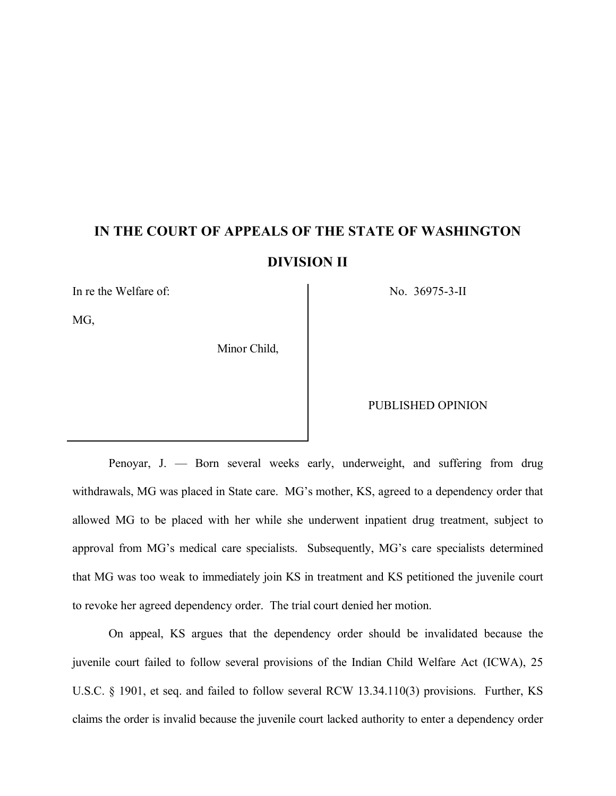# **IN THE COURT OF APPEALS OF THE STATE OF WASHINGTON DIVISION II**

In re the Welfare of: No. 36975-3-II

MG,

Minor Child,

PUBLISHED OPINION

Penoyar, J. — Born several weeks early, underweight, and suffering from drug withdrawals, MG was placed in State care. MG's mother, KS, agreed to a dependency order that allowed MG to be placed with her while she underwent inpatient drug treatment, subject to approval from MG's medical care specialists. Subsequently, MG's care specialists determined that MG was too weak to immediately join KS in treatment and KS petitioned the juvenile court to revoke her agreed dependency order. The trial court denied her motion.

On appeal, KS argues that the dependency order should be invalidated because the juvenile court failed to follow several provisions of the Indian Child Welfare Act (ICWA), 25 U.S.C. § 1901, et seq. and failed to follow several RCW 13.34.110(3) provisions. Further, KS claims the order is invalid because the juvenile court lacked authority to enter a dependency order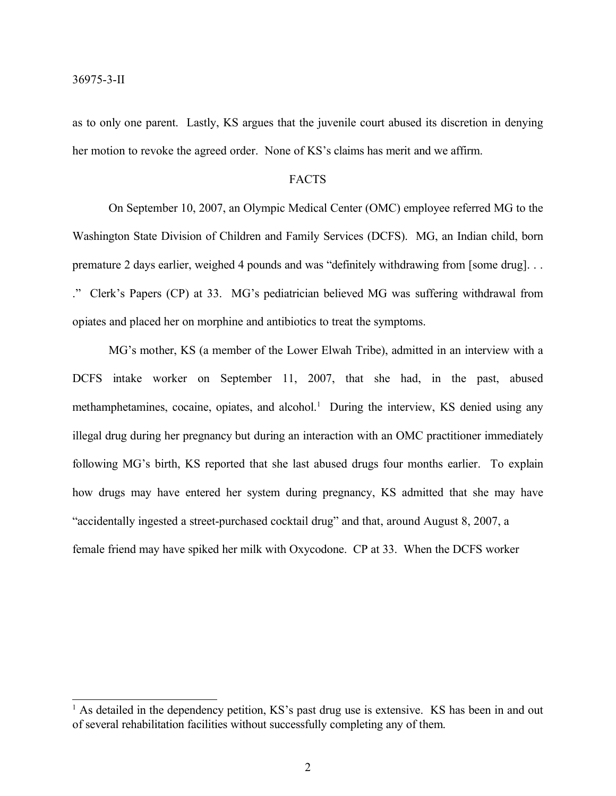as to only one parent. Lastly, KS argues that the juvenile court abused its discretion in denying her motion to revoke the agreed order. None of KS's claims has merit and we affirm.

#### FACTS

On September 10, 2007, an Olympic Medical Center (OMC) employee referred MG to the Washington State Division of Children and Family Services (DCFS). MG, an Indian child, born premature 2 days earlier, weighed 4 pounds and was "definitely withdrawing from [some drug]. . . ." Clerk's Papers (CP) at 33. MG's pediatrician believed MG was suffering withdrawal from opiates and placed her on morphine and antibiotics to treat the symptoms.

MG's mother, KS (a member of the Lower Elwah Tribe), admitted in an interview with a DCFS intake worker on September 11, 2007, that she had, in the past, abused methamphetamines, cocaine, opiates, and alcohol.<sup>1</sup> During the interview, KS denied using any illegal drug during her pregnancy but during an interaction with an OMC practitioner immediately following MG's birth, KS reported that she last abused drugs four months earlier. To explain how drugs may have entered her system during pregnancy, KS admitted that she may have "accidentally ingested a street-purchased cocktail drug" and that, around August 8, 2007, a female friend may have spiked her milk with Oxycodone. CP at 33. When the DCFS worker

<sup>&</sup>lt;sup>1</sup> As detailed in the dependency petition, KS's past drug use is extensive. KS has been in and out of several rehabilitation facilities without successfully completing any of them.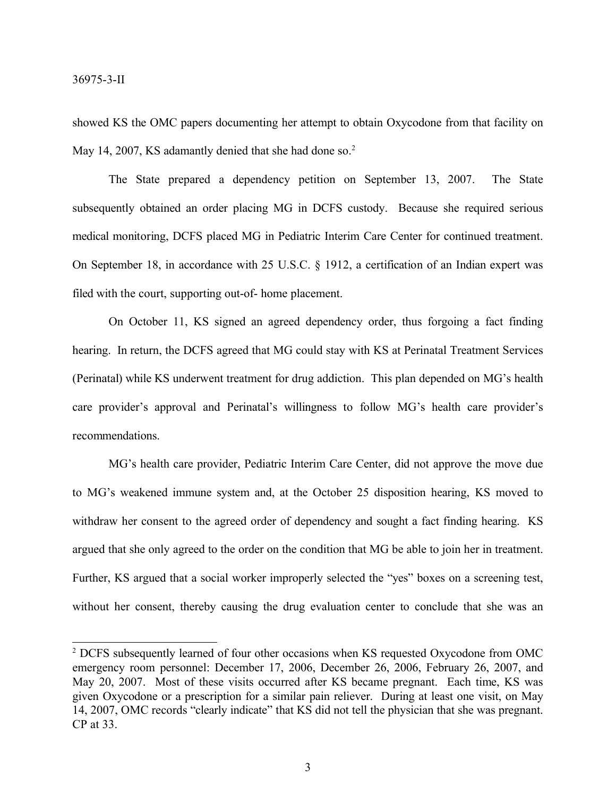showed KS the OMC papers documenting her attempt to obtain Oxycodone from that facility on May 14, 2007, KS adamantly denied that she had done so.<sup>2</sup>

The State prepared a dependency petition on September 13, 2007. The State subsequently obtained an order placing MG in DCFS custody. Because she required serious medical monitoring, DCFS placed MG in Pediatric Interim Care Center for continued treatment. On September 18, in accordance with 25 U.S.C. § 1912, a certification of an Indian expert was filed with the court, supporting out-of- home placement.

On October 11, KS signed an agreed dependency order, thus forgoing a fact finding hearing. In return, the DCFS agreed that MG could stay with KS at Perinatal Treatment Services (Perinatal) while KS underwent treatment for drug addiction. This plan depended on MG's health care provider's approval and Perinatal's willingness to follow MG's health care provider's recommendations.

MG's health care provider, Pediatric Interim Care Center, did not approve the move due to MG's weakened immune system and, at the October 25 disposition hearing, KS moved to withdraw her consent to the agreed order of dependency and sought a fact finding hearing. KS argued that she only agreed to the order on the condition that MG be able to join her in treatment. Further, KS argued that a social worker improperly selected the "yes" boxes on a screening test, without her consent, thereby causing the drug evaluation center to conclude that she was an

<sup>2</sup> DCFS subsequently learned of four other occasions when KS requested Oxycodone from OMC emergency room personnel: December 17, 2006, December 26, 2006, February 26, 2007, and May 20, 2007. Most of these visits occurred after KS became pregnant. Each time, KS was given Oxycodone or a prescription for a similar pain reliever. During at least one visit, on May 14, 2007, OMC records "clearly indicate" that KS did not tell the physician that she was pregnant. CP at 33.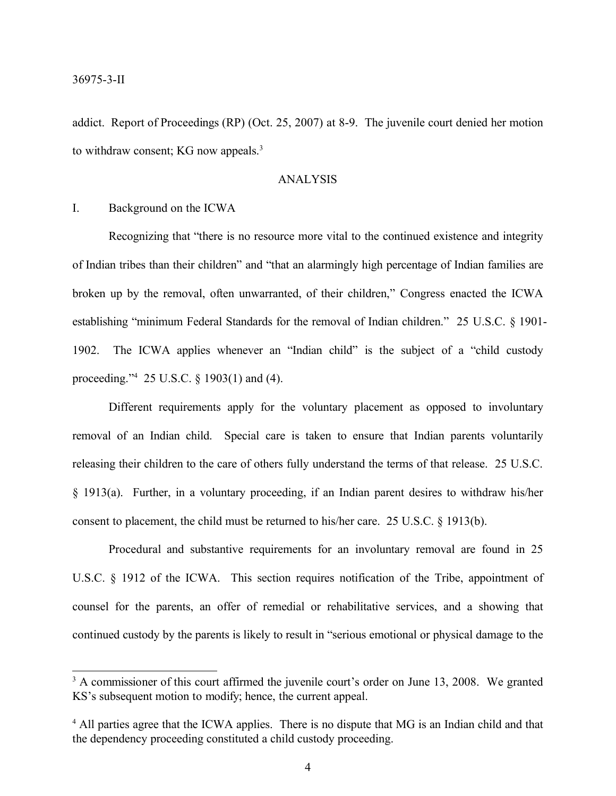addict. Report of Proceedings (RP) (Oct. 25, 2007) at 8-9. The juvenile court denied her motion to withdraw consent; KG now appeals.<sup>3</sup>

#### ANALYSIS

#### I. Background on the ICWA

Recognizing that "there is no resource more vital to the continued existence and integrity of Indian tribes than their children" and "that an alarmingly high percentage of Indian families are broken up by the removal, often unwarranted, of their children," Congress enacted the ICWA establishing "minimum Federal Standards for the removal of Indian children." 25 U.S.C. § 1901- 1902. The ICWA applies whenever an "Indian child" is the subject of a "child custody proceeding." <sup>4</sup> 25 U.S.C. § 1903(1) and (4).

Different requirements apply for the voluntary placement as opposed to involuntary removal of an Indian child. Special care is taken to ensure that Indian parents voluntarily releasing their children to the care of others fully understand the terms of that release. 25 U.S.C. § 1913(a). Further, in a voluntary proceeding, if an Indian parent desires to withdraw his/her consent to placement, the child must be returned to his/her care. 25 U.S.C. § 1913(b).

Procedural and substantive requirements for an involuntary removal are found in 25 U.S.C. § 1912 of the ICWA. This section requires notification of the Tribe, appointment of counsel for the parents, an offer of remedial or rehabilitative services, and a showing that continued custody by the parents is likely to result in "serious emotional or physical damage to the

<sup>&</sup>lt;sup>3</sup> A commissioner of this court affirmed the juvenile court's order on June 13, 2008. We granted KS's subsequent motion to modify; hence, the current appeal.

<sup>&</sup>lt;sup>4</sup> All parties agree that the ICWA applies. There is no dispute that MG is an Indian child and that the dependency proceeding constituted a child custody proceeding.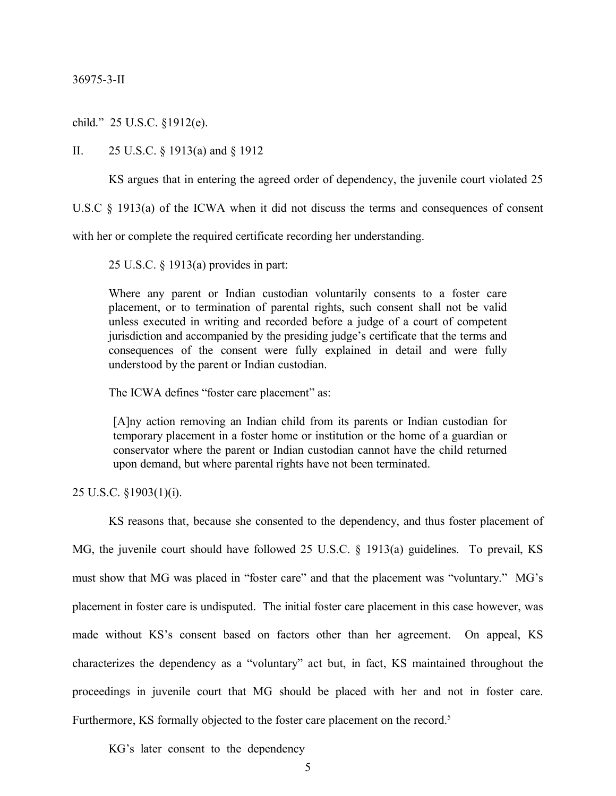child." 25 U.S.C. §1912(e).

II. 25 U.S.C. § 1913(a) and § 1912

KS argues that in entering the agreed order of dependency, the juvenile court violated 25

U.S.C § 1913(a) of the ICWA when it did not discuss the terms and consequences of consent

with her or complete the required certificate recording her understanding.

25 U.S.C. § 1913(a) provides in part:

Where any parent or Indian custodian voluntarily consents to a foster care placement, or to termination of parental rights, such consent shall not be valid unless executed in writing and recorded before a judge of a court of competent jurisdiction and accompanied by the presiding judge's certificate that the terms and consequences of the consent were fully explained in detail and were fully understood by the parent or Indian custodian.

The ICWA defines "foster care placement" as:

[A]ny action removing an Indian child from its parents or Indian custodian for temporary placement in a foster home or institution or the home of a guardian or conservator where the parent or Indian custodian cannot have the child returned upon demand, but where parental rights have not been terminated.

25 U.S.C. §1903(1)(i).

KS reasons that, because she consented to the dependency, and thus foster placement of

MG, the juvenile court should have followed 25 U.S.C. § 1913(a) guidelines. To prevail, KS must show that MG was placed in "foster care" and that the placement was "voluntary." MG's placement in foster care is undisputed. The initial foster care placement in this case however, was made without KS's consent based on factors other than her agreement. On appeal, KS characterizes the dependency as a "voluntary" act but, in fact, KS maintained throughout the proceedings in juvenile court that MG should be placed with her and not in foster care. Furthermore, KS formally objected to the foster care placement on the record.<sup>5</sup>

KG's later consent to the dependency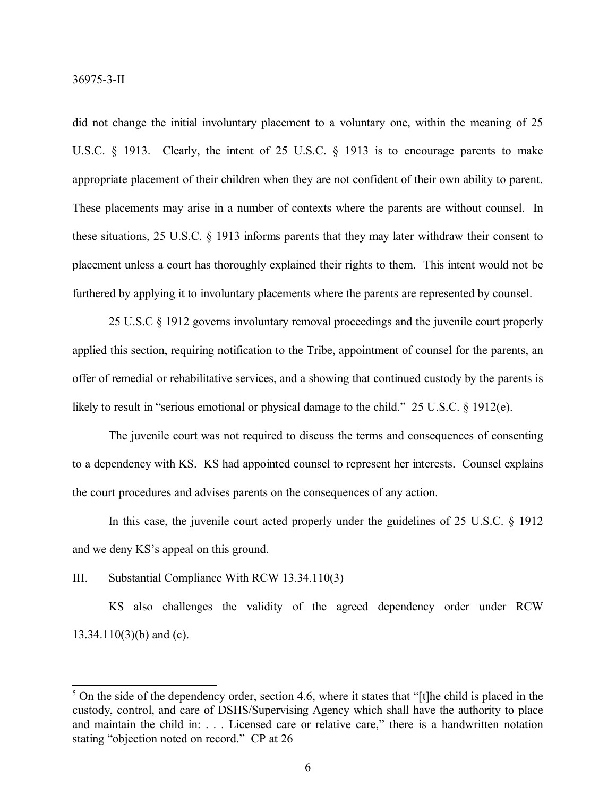did not change the initial involuntary placement to a voluntary one, within the meaning of 25 U.S.C. § 1913. Clearly, the intent of 25 U.S.C. § 1913 is to encourage parents to make appropriate placement of their children when they are not confident of their own ability to parent. These placements may arise in a number of contexts where the parents are without counsel. In these situations, 25 U.S.C. § 1913 informs parents that they may later withdraw their consent to placement unless a court has thoroughly explained their rights to them. This intent would not be furthered by applying it to involuntary placements where the parents are represented by counsel.

25 U.S.C § 1912 governs involuntary removal proceedings and the juvenile court properly applied this section, requiring notification to the Tribe, appointment of counsel for the parents, an offer of remedial or rehabilitative services, and a showing that continued custody by the parents is likely to result in "serious emotional or physical damage to the child." 25 U.S.C. § 1912(e).

The juvenile court was not required to discuss the terms and consequences of consenting to a dependency with KS. KS had appointed counsel to represent her interests. Counsel explains the court procedures and advises parents on the consequences of any action.

In this case, the juvenile court acted properly under the guidelines of 25 U.S.C. § 1912 and we deny KS's appeal on this ground.

III. Substantial Compliance With RCW 13.34.110(3)

KS also challenges the validity of the agreed dependency order under RCW 13.34.110(3)(b) and (c).

<sup>&</sup>lt;sup>5</sup> On the side of the dependency order, section 4.6, where it states that "[t]he child is placed in the custody, control, and care of DSHS/Supervising Agency which shall have the authority to place and maintain the child in: . . . Licensed care or relative care," there is a handwritten notation stating "objection noted on record." CP at 26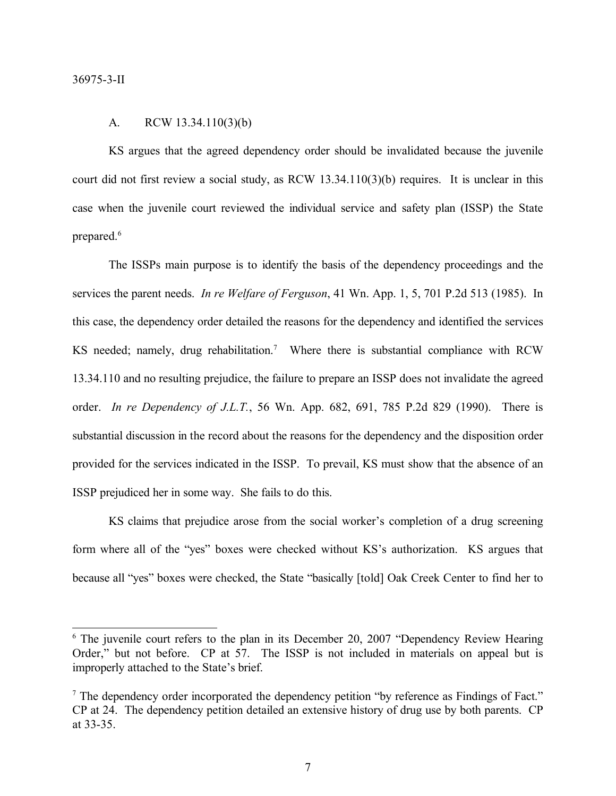#### A. RCW 13.34.110(3)(b)

KS argues that the agreed dependency order should be invalidated because the juvenile court did not first review a social study, as RCW 13.34.110(3)(b) requires. It is unclear in this case when the juvenile court reviewed the individual service and safety plan (ISSP) the State prepared. 6

The ISSPs main purpose is to identify the basis of the dependency proceedings and the services the parent needs. *In re Welfare of Ferguson*, 41 Wn. App. 1, 5, 701 P.2d 513 (1985). In this case, the dependency order detailed the reasons for the dependency and identified the services KS needed; namely, drug rehabilitation.<sup>7</sup> Where there is substantial compliance with RCW 13.34.110 and no resulting prejudice, the failure to prepare an ISSP does not invalidate the agreed order. *In re Dependency of J.L.T.*, 56 Wn. App. 682, 691, 785 P.2d 829 (1990). There is substantial discussion in the record about the reasons for the dependency and the disposition order provided for the services indicated in the ISSP. To prevail, KS must show that the absence of an ISSP prejudiced her in some way. She fails to do this.

KS claims that prejudice arose from the social worker's completion of a drug screening form where all of the "yes" boxes were checked without KS's authorization. KS argues that because all "yes" boxes were checked, the State "basically [told] Oak Creek Center to find her to

<sup>&</sup>lt;sup>6</sup> The juvenile court refers to the plan in its December 20, 2007 "Dependency Review Hearing Order," but not before. CP at 57. The ISSP is not included in materials on appeal but is improperly attached to the State's brief.

<sup>7</sup> The dependency order incorporated the dependency petition "by reference as Findings of Fact." CP at 24. The dependency petition detailed an extensive history of drug use by both parents. CP at 33-35.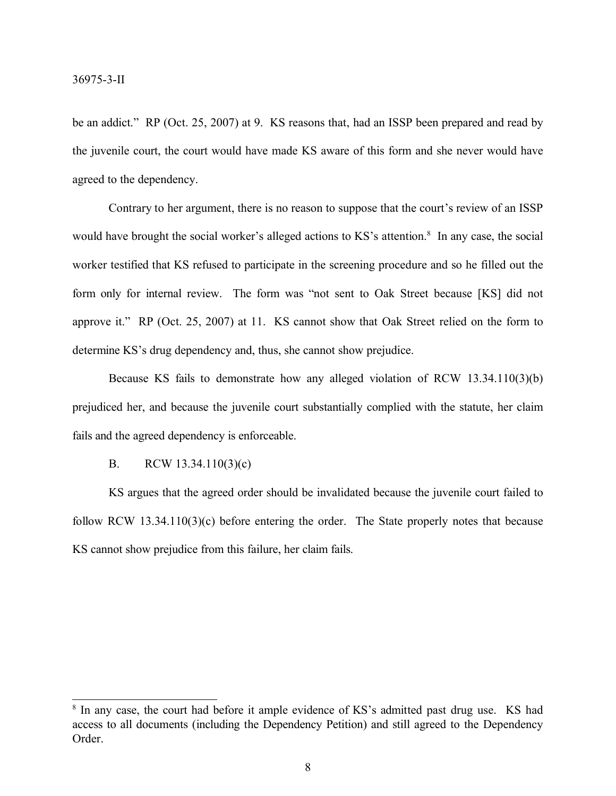be an addict." RP (Oct. 25, 2007) at 9. KS reasons that, had an ISSP been prepared and read by the juvenile court, the court would have made KS aware of this form and she never would have agreed to the dependency.

Contrary to her argument, there is no reason to suppose that the court's review of an ISSP would have brought the social worker's alleged actions to KS's attention.<sup>8</sup> In any case, the social worker testified that KS refused to participate in the screening procedure and so he filled out the form only for internal review. The form was "not sent to Oak Street because [KS] did not approve it." RP (Oct. 25, 2007) at 11. KS cannot show that Oak Street relied on the form to determine KS's drug dependency and, thus, she cannot show prejudice.

Because KS fails to demonstrate how any alleged violation of RCW 13.34.110(3)(b) prejudiced her, and because the juvenile court substantially complied with the statute, her claim fails and the agreed dependency is enforceable.

### B. RCW 13.34.110(3)(c)

KS argues that the agreed order should be invalidated because the juvenile court failed to follow RCW 13.34.110(3)(c) before entering the order. The State properly notes that because KS cannot show prejudice from this failure, her claim fails.

<sup>&</sup>lt;sup>8</sup> In any case, the court had before it ample evidence of KS's admitted past drug use. KS had access to all documents (including the Dependency Petition) and still agreed to the Dependency Order.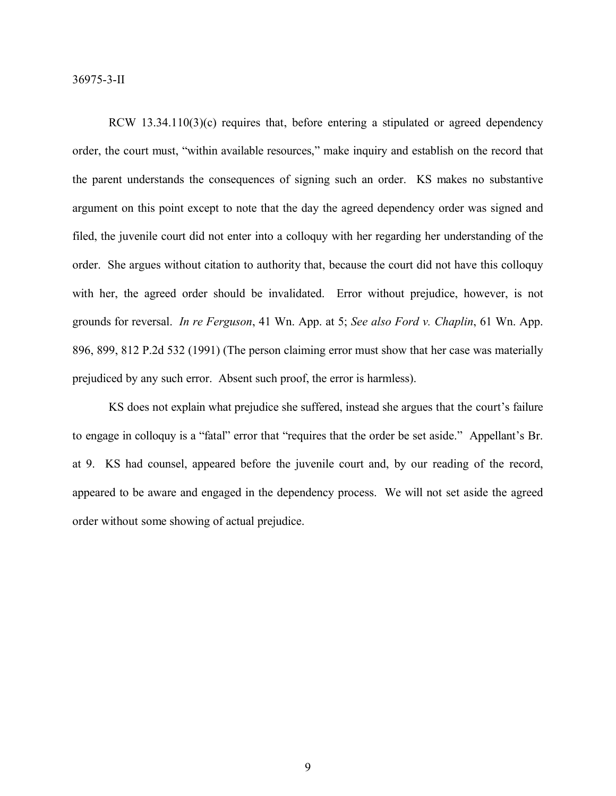RCW 13.34.110(3)(c) requires that, before entering a stipulated or agreed dependency order, the court must, "within available resources," make inquiry and establish on the record that the parent understands the consequences of signing such an order. KS makes no substantive argument on this point except to note that the day the agreed dependency order was signed and filed, the juvenile court did not enter into a colloquy with her regarding her understanding of the order. She argues without citation to authority that, because the court did not have this colloquy with her, the agreed order should be invalidated. Error without prejudice, however, is not grounds for reversal. *In re Ferguson*, 41 Wn. App. at 5; *See also Ford v. Chaplin*, 61 Wn. App. 896, 899, 812 P.2d 532 (1991) (The person claiming error must show that her case was materially prejudiced by any such error. Absent such proof, the error is harmless).

KS does not explain what prejudice she suffered, instead she argues that the court's failure to engage in colloquy is a "fatal" error that "requires that the order be set aside." Appellant's Br. at 9. KS had counsel, appeared before the juvenile court and, by our reading of the record, appeared to be aware and engaged in the dependency process. We will not set aside the agreed order without some showing of actual prejudice.

9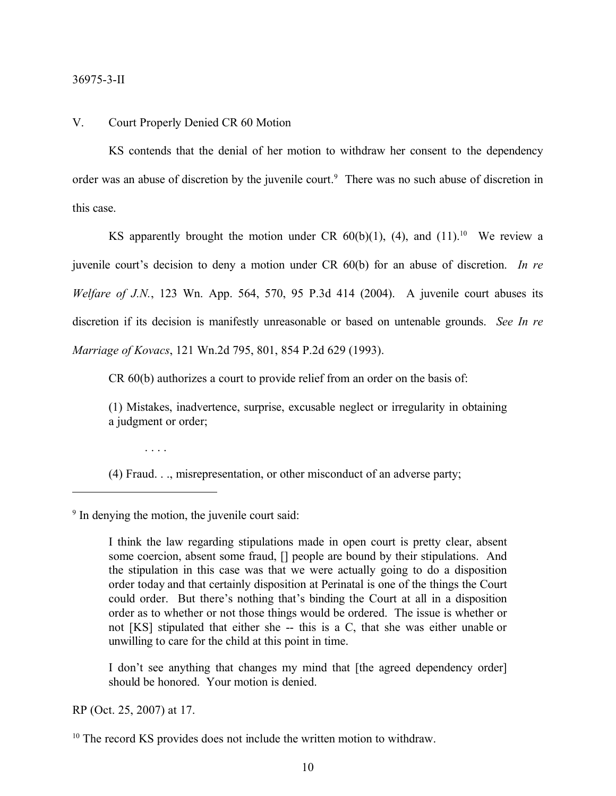#### V. Court Properly Denied CR 60 Motion

KS contends that the denial of her motion to withdraw her consent to the dependency order was an abuse of discretion by the juvenile court.<sup>9</sup> There was no such abuse of discretion in this case.

KS apparently brought the motion under CR  $60(b)(1)$ , (4), and (11).<sup>10</sup> We review a juvenile court's decision to deny a motion under CR 60(b) for an abuse of discretion. *In re Welfare of J.N.*, 123 Wn. App. 564, 570, 95 P.3d 414 (2004). A juvenile court abuses its discretion if its decision is manifestly unreasonable or based on untenable grounds. *See In re Marriage of Kovacs*, 121 Wn.2d 795, 801, 854 P.2d 629 (1993).

CR 60(b) authorizes a court to provide relief from an order on the basis of:

(1) Mistakes, inadvertence, surprise, excusable neglect or irregularity in obtaining a judgment or order;

(4) Fraud. . ., misrepresentation, or other misconduct of an adverse party;

9 In denying the motion, the juvenile court said:

. . . .

I think the law regarding stipulations made in open court is pretty clear, absent some coercion, absent some fraud, [] people are bound by their stipulations. And the stipulation in this case was that we were actually going to do a disposition order today and that certainly disposition at Perinatal is one of the things the Court could order. But there's nothing that's binding the Court at all in a disposition order as to whether or not those things would be ordered. The issue is whether or not [KS] stipulated that either she -- this is a C, that she was either unable or unwilling to care for the child at this point in time.

I don't see anything that changes my mind that [the agreed dependency order] should be honored. Your motion is denied.

RP (Oct. 25, 2007) at 17.

<sup>10</sup> The record KS provides does not include the written motion to withdraw.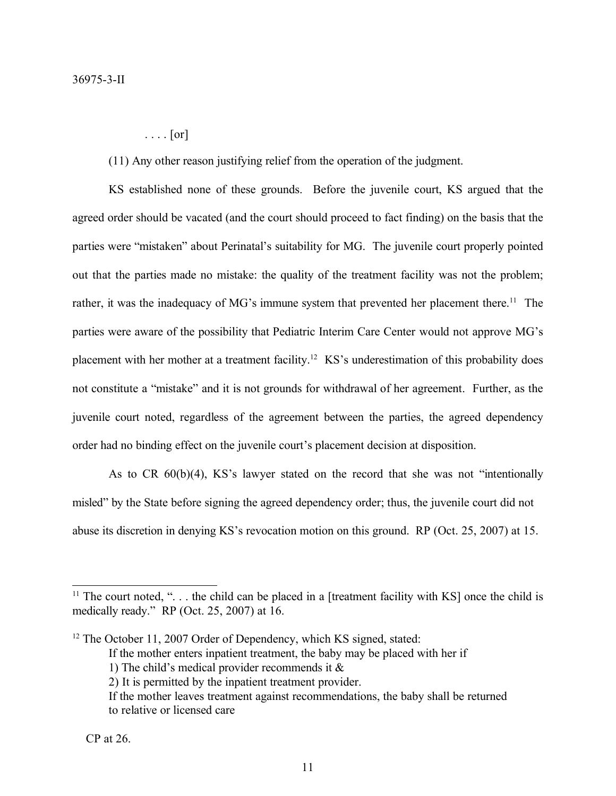$\ldots$  [or]

(11) Any other reason justifying relief from the operation of the judgment.

KS established none of these grounds. Before the juvenile court, KS argued that the agreed order should be vacated (and the court should proceed to fact finding) on the basis that the parties were "mistaken" about Perinatal's suitability for MG. The juvenile court properly pointed out that the parties made no mistake: the quality of the treatment facility was not the problem; rather, it was the inadequacy of MG's immune system that prevented her placement there.<sup>11</sup> The parties were aware of the possibility that Pediatric Interim Care Center would not approve MG's placement with her mother at a treatment facility.<sup>12</sup> KS's underestimation of this probability does not constitute a "mistake" and it is not grounds for withdrawal of her agreement. Further, as the juvenile court noted, regardless of the agreement between the parties, the agreed dependency order had no binding effect on the juvenile court's placement decision at disposition.

As to CR 60(b)(4), KS's lawyer stated on the record that she was not "intentionally misled" by the State before signing the agreed dependency order; thus, the juvenile court did not abuse its discretion in denying KS's revocation motion on this ground. RP (Oct. 25, 2007) at 15.

If the mother enters inpatient treatment, the baby may be placed with her if

<sup>&</sup>lt;sup>11</sup> The court noted, " $\ldots$  the child can be placed in a [treatment facility with KS] once the child is medically ready." RP (Oct. 25, 2007) at 16.

<sup>&</sup>lt;sup>12</sup> The October 11, 2007 Order of Dependency, which KS signed, stated:

<sup>1)</sup> The child's medical provider recommends it &

<sup>2)</sup> It is permitted by the inpatient treatment provider.

If the mother leaves treatment against recommendations, the baby shall be returned to relative or licensed care

CP at 26.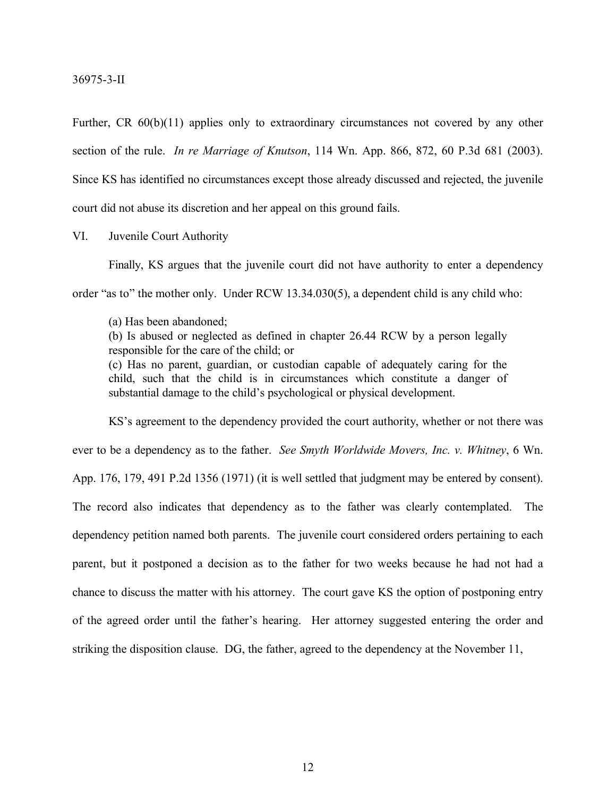Further, CR 60(b)(11) applies only to extraordinary circumstances not covered by any other section of the rule. *In re Marriage of Knutson*, 114 Wn. App. 866, 872, 60 P.3d 681 (2003). Since KS has identified no circumstances except those already discussed and rejected, the juvenile court did not abuse its discretion and her appeal on this ground fails.

VI. Juvenile Court Authority

Finally, KS argues that the juvenile court did not have authority to enter a dependency order "as to" the mother only. Under RCW 13.34.030(5), a dependent child is any child who:

(a) Has been abandoned;

(b) Is abused or neglected as defined in chapter 26.44 RCW by a person legally responsible for the care of the child; or

(c) Has no parent, guardian, or custodian capable of adequately caring for the child, such that the child is in circumstances which constitute a danger of substantial damage to the child's psychological or physical development.

KS's agreement to the dependency provided the court authority, whether or not there was ever to be a dependency as to the father. *See Smyth Worldwide Movers, Inc. v. Whitney*, 6 Wn. App. 176, 179, 491 P.2d 1356 (1971) (it is well settled that judgment may be entered by consent). The record also indicates that dependency as to the father was clearly contemplated. The dependency petition named both parents. The juvenile court considered orders pertaining to each parent, but it postponed a decision as to the father for two weeks because he had not had a chance to discuss the matter with his attorney. The court gave KS the option of postponing entry of the agreed order until the father's hearing. Her attorney suggested entering the order and striking the disposition clause. DG, the father, agreed to the dependency at the November 11,